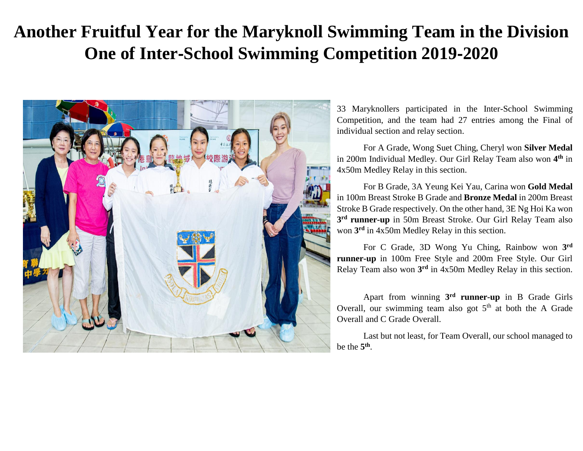## **Another Fruitful Year for the Maryknoll Swimming Team in the Division One of Inter**‐**School Swimming Competition 2019**‐**2020**



33 Maryknollers participated in the Inter-School Swimming Competition, and the team had 27 entries among the Final of individual section and relay section.

For A Grade, Wong Suet Ching, Cheryl won **Silver Medal** in 200m Individual Medley. Our Girl Relay Team also won **4 th** in 4x50m Medley Relay in this section.

For B Grade, 3A Yeung Kei Yau, Carina won **Gold Medal** in 100m Breast Stroke B Grade and **Bronze Medal** in 200m Breast Stroke B Grade respectively. On the other hand, 3E Ng Hoi Ka won **3 rd runner-up** in 50m Breast Stroke. Our Girl Relay Team also won **3 rd** in 4x50m Medley Relay in this section.

For C Grade, 3D Wong Yu Ching, Rainbow won **3 rd runner-up** in 100m Free Style and 200m Free Style. Our Girl Relay Team also won **3 rd** in 4x50m Medley Relay in this section.

Apart from winning **3 rd runner-up** in B Grade Girls Overall, our swimming team also got  $5<sup>th</sup>$  at both the A Grade Overall and C Grade Overall.

Last but not least, for Team Overall, our school managed to be the **5 th** .